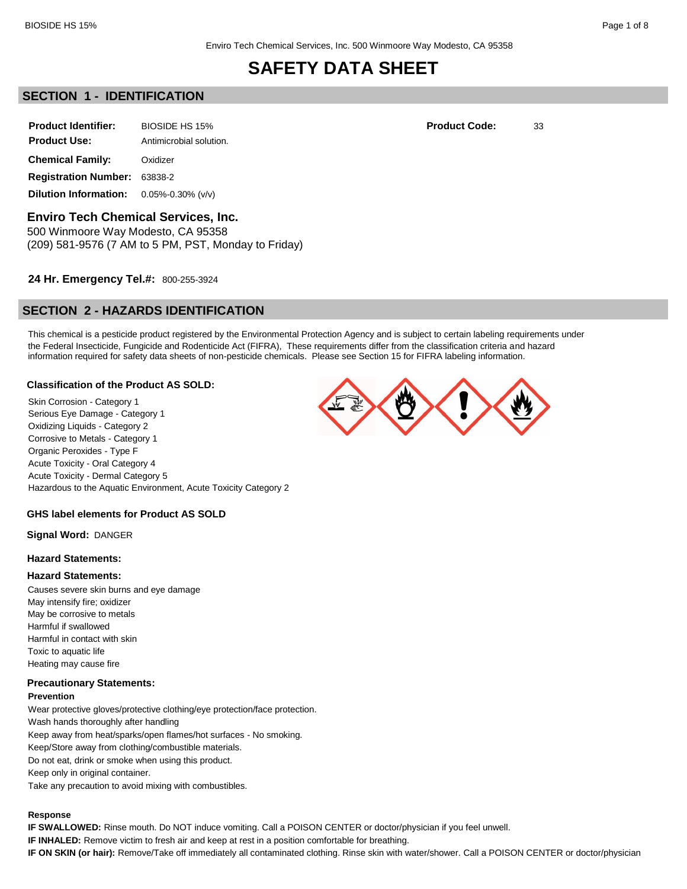## **SECTION 1 - IDENTIFICATION**

| <b>Product Identifier:</b>                               | BIOSIDE HS 15%          | <b>Product Code:</b> | 33 |
|----------------------------------------------------------|-------------------------|----------------------|----|
| <b>Product Use:</b>                                      | Antimicrobial solution. |                      |    |
| <b>Chemical Family:</b>                                  | Oxidizer                |                      |    |
| <b>Registration Number: 63838-2</b>                      |                         |                      |    |
| <b>Dilution Information:</b> $0.05\% - 0.30\%$ ( $v/v$ ) |                         |                      |    |

**Enviro Tech Chemical Services, Inc.**

500 Winmoore Way Modesto, CA 95358 (209) 581-9576 (7 AM to 5 PM, PST, Monday to Friday)

## **24 Hr. Emergency Tel.#:** 800-255-3924

## **SECTION 2 - HAZARDS IDENTIFICATION**

This chemical is a pesticide product registered by the Environmental Protection Agency and is subject to certain labeling requirements under the Federal Insecticide, Fungicide and Rodenticide Act (FIFRA), These requirements differ from the classification criteria and hazard information required for safety data sheets of non-pesticide chemicals. Please see Section 15 for FIFRA labeling information.

#### **Classification of the Product AS SOLD:**

Skin Corrosion - Category 1 Serious Eye Damage - Category 1 Oxidizing Liquids - Category 2 Corrosive to Metals - Category 1 Organic Peroxides - Type F Acute Toxicity - Oral Category 4 Acute Toxicity - Dermal Category 5 Hazardous to the Aquatic Environment, Acute Toxicity Category 2

#### **GHS label elements for Product AS SOLD**

**Signal Word:** DANGER

#### **Hazard Statements:**

#### **Hazard Statements:**

Causes severe skin burns and eye damage May intensify fire; oxidizer May be corrosive to metals Harmful if swallowed Harmful in contact with skin Toxic to aquatic life Heating may cause fire

## **Precautionary Statements:**

**Prevention**

Wear protective gloves/protective clothing/eye protection/face protection. Wash hands thoroughly after handling Keep away from heat/sparks/open flames/hot surfaces - No smoking. Keep/Store away from clothing/combustible materials. Do not eat, drink or smoke when using this product. Keep only in original container. Take any precaution to avoid mixing with combustibles.

#### **Response**

**IF SWALLOWED:** Rinse mouth. Do NOT induce vomiting. Call a POISON CENTER or doctor/physician if you feel unwell.

**IF INHALED:** Remove victim to fresh air and keep at rest in a position comfortable for breathing.

**IF ON SKIN (or hair):** Remove/Take off immediately all contaminated clothing. Rinse skin with water/shower. Call a POISON CENTER or doctor/physician

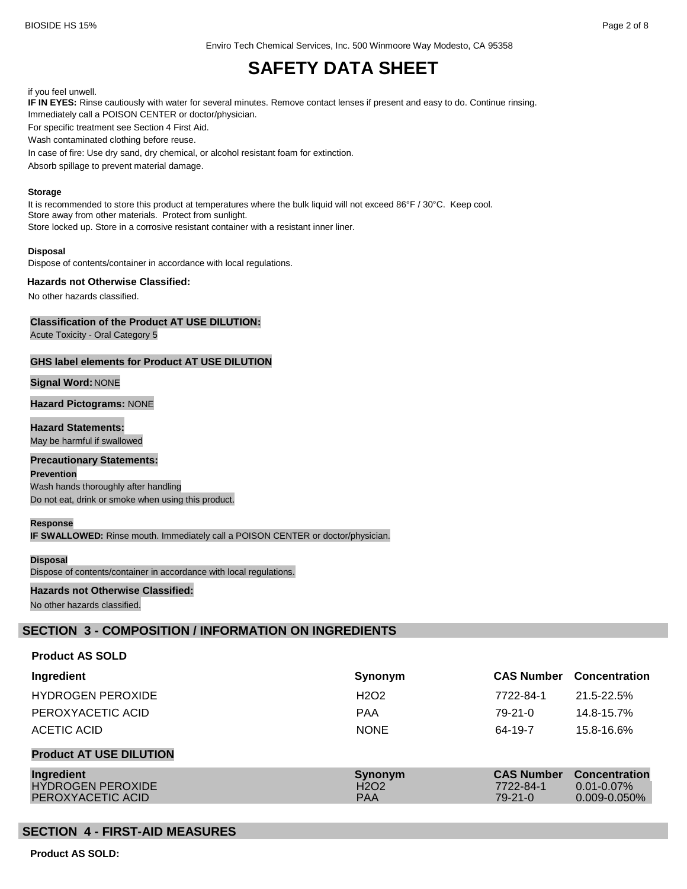Enviro Tech Chemical Services, Inc. 500 Winmoore Way Modesto, CA 95358

# **SAFETY DATA SHEET**

#### if you feel unwell.

**IF IN EYES:** Rinse cautiously with water for several minutes. Remove contact lenses if present and easy to do. Continue rinsing. Immediately call a POISON CENTER or doctor/physician.

For specific treatment see Section 4 First Aid.

Wash contaminated clothing before reuse.

In case of fire: Use dry sand, dry chemical, or alcohol resistant foam for extinction.

Absorb spillage to prevent material damage.

#### **Storage**

It is recommended to store this product at temperatures where the bulk liquid will not exceed 86°F / 30°C. Keep cool. Store away from other materials. Protect from sunlight. Store locked up. Store in a corrosive resistant container with a resistant inner liner.

#### **Disposal**

Dispose of contents/container in accordance with local regulations.

#### **Hazards not Otherwise Classified:**

No other hazards classified.

#### **Classification of the Product AT USE DILUTION:**

Acute Toxicity - Oral Category 5

### **GHS label elements for Product AT USE DILUTION**

#### **Signal Word:** NONE

**Hazard Pictograms:** NONE

## **Hazard Statements:**

May be harmful if swallowed

## **Precautionary Statements:**

**Prevention** Wash hands thoroughly after handling Do not eat, drink or smoke when using this product.

#### **Response**

**IF SWALLOWED:** Rinse mouth. Immediately call a POISON CENTER or doctor/physician.

#### **Disposal**

Dispose of contents/container in accordance with local regulations.

#### **Hazards not Otherwise Classified:** No other hazards classified.

## **SECTION 3 - COMPOSITION / INFORMATION ON INGREDIENTS**

### **Product AS SOLD**

| Ingredient                                                  | Synonym                                                | <b>CAS Number</b>                               | <b>Concentration</b>                                         |
|-------------------------------------------------------------|--------------------------------------------------------|-------------------------------------------------|--------------------------------------------------------------|
| <b>HYDROGEN PEROXIDE</b>                                    | H <sub>2</sub> O <sub>2</sub>                          | 7722-84-1                                       | 21.5-22.5%                                                   |
| PEROXYACETIC ACID                                           | <b>PAA</b>                                             | $79-21-0$                                       | 14.8-15.7%                                                   |
| ACETIC ACID                                                 | <b>NONE</b>                                            | 64-19-7                                         | 15.8-16.6%                                                   |
| <b>Product AT USE DILUTION</b>                              |                                                        |                                                 |                                                              |
| Ingredient<br><b>HYDROGEN PEROXIDE</b><br>PEROXYACETIC ACID | Synonym<br>H <sub>2</sub> O <sub>2</sub><br><b>PAA</b> | <b>CAS Number</b><br>7722-84-1<br>$79 - 21 - 0$ | <b>Concentration</b><br>$0.01 - 0.07\%$<br>$0.009 - 0.050\%$ |

## **SECTION 4 - FIRST-AID MEASURES**

**Product AS SOLD:**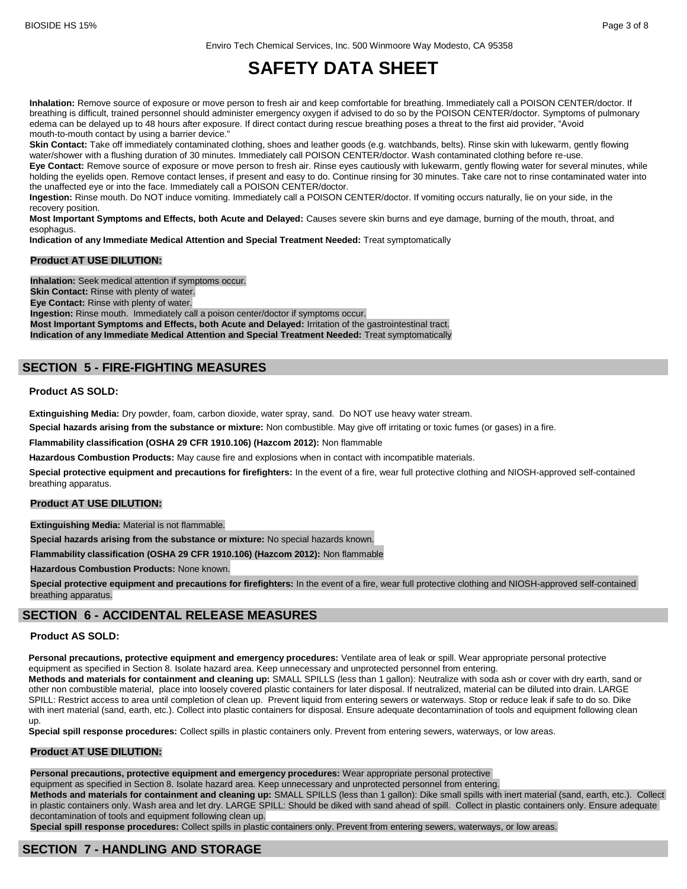**Inhalation:** Remove source of exposure or move person to fresh air and keep comfortable for breathing. Immediately call a POISON CENTER/doctor. If breathing is difficult, trained personnel should administer emergency oxygen if advised to do so by the POISON CENTER/doctor. Symptoms of pulmonary edema can be delayed up to 48 hours after exposure. If direct contact during rescue breathing poses a threat to the first aid provider, "Avoid mouth-to-mouth contact by using a barrier device."

**Skin Contact:** Take off immediately contaminated clothing, shoes and leather goods (e.g. watchbands, belts). Rinse skin with lukewarm, gently flowing water/shower with a flushing duration of 30 minutes. Immediately call POISON CENTER/doctor. Wash contaminated clothing before re-use.

**Eye Contact:** Remove source of exposure or move person to fresh air. Rinse eyes cautiously with lukewarm, gently flowing water for several minutes, while holding the eyelids open. Remove contact lenses, if present and easy to do. Continue rinsing for 30 minutes. Take care not to rinse contaminated water into the unaffected eye or into the face. Immediately call a POISON CENTER/doctor.

**Ingestion:** Rinse mouth. Do NOT induce vomiting. Immediately call a POISON CENTER/doctor. If vomiting occurs naturally, lie on your side, in the recovery position.

**Most Important Symptoms and Effects, both Acute and Delayed:** Causes severe skin burns and eye damage, burning of the mouth, throat, and esophagus.

**Indication of any Immediate Medical Attention and Special Treatment Needed:** Treat symptomatically

#### **Product AT USE DILUTION:**

**Inhalation:** Seek medical attention if symptoms occur. **Skin Contact:** Rinse with plenty of water. **Eye Contact:** Rinse with plenty of water. **Ingestion:** Rinse mouth. Immediately call a poison center/doctor if symptoms occur. **Most Important Symptoms and Effects, both Acute and Delayed:** Irritation of the gastrointestinal tract. **Indication of any Immediate Medical Attention and Special Treatment Needed:** Treat symptomatically

## **SECTION 5 - FIRE-FIGHTING MEASURES**

#### **Product AS SOLD:**

**Extinguishing Media:** Dry powder, foam, carbon dioxide, water spray, sand. Do NOT use heavy water stream.

**Special hazards arising from the substance or mixture:** Non combustible. May give off irritating or toxic fumes (or gases) in a fire.

**Flammability classification (OSHA 29 CFR 1910.106) (Hazcom 2012):** Non flammable

**Hazardous Combustion Products:** May cause fire and explosions when in contact with incompatible materials.

**Special protective equipment and precautions for firefighters:** In the event of a fire, wear full protective clothing and NIOSH-approved self-contained breathing apparatus.

#### **Product AT USE DILUTION:**

**Extinguishing Media:** Material is not flammable.

**Special hazards arising from the substance or mixture:** No special hazards known.

**Flammability classification (OSHA 29 CFR 1910.106) (Hazcom 2012):** Non flammable

**Hazardous Combustion Products:** None known.

**Special protective equipment and precautions for firefighters:** In the event of a fire, wear full protective clothing and NIOSH-approved self-contained breathing apparatus.

## **SECTION 6 - ACCIDENTAL RELEASE MEASURES**

#### **Product AS SOLD:**

**Personal precautions, protective equipment and emergency procedures:** Ventilate area of leak or spill. Wear appropriate personal protective equipment as specified in Section 8. Isolate hazard area. Keep unnecessary and unprotected personnel from entering.

**Methods and materials for containment and cleaning up:** SMALL SPILLS (less than 1 gallon): Neutralize with soda ash or cover with dry earth, sand or other non combustible material, place into loosely covered plastic containers for later disposal. If neutralized, material can be diluted into drain. LARGE SPILL: Restrict access to area until completion of clean up. Prevent liquid from entering sewers or waterways. Stop or reduce leak if safe to do so. Dike with inert material (sand, earth, etc.). Collect into plastic containers for disposal. Ensure adequate decontamination of tools and equipment following clean up.

**Special spill response procedures:** Collect spills in plastic containers only. Prevent from entering sewers, waterways, or low areas.

#### **Product AT USE DILUTION:**

#### **Personal precautions, protective equipment and emergency procedures:** Wear appropriate personal protective

equipment as specified in Section 8. Isolate hazard area. Keep unnecessary and unprotected personnel from entering.

**Methods and materials for containment and cleaning up:** SMALL SPILLS (less than 1 gallon): Dike small spills with inert material (sand, earth, etc.). Collect in plastic containers only. Wash area and let dry. LARGE SPILL: Should be diked with sand ahead of spill. Collect in plastic containers only. Ensure adequate decontamination of tools and equipment following clean up.

**Special spill response procedures:** Collect spills in plastic containers only. Prevent from entering sewers, waterways, or low areas.

## **SECTION 7 - HANDLING AND STORAGE**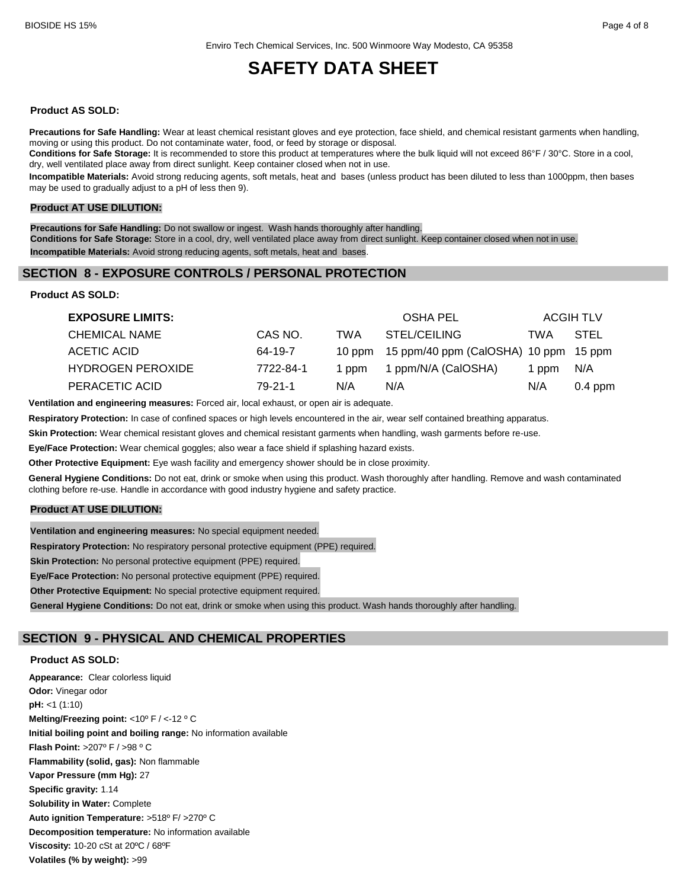#### **Product AS SOLD:**

**Precautions for Safe Handling:** Wear at least chemical resistant gloves and eye protection, face shield, and chemical resistant garments when handling, moving or using this product. Do not contaminate water, food, or feed by storage or disposal.

**Conditions for Safe Storage:** It is recommended to store this product at temperatures where the bulk liquid will not exceed 86°F / 30°C. Store in a cool, dry, well ventilated place away from direct sunlight. Keep container closed when not in use.

**Incompatible Materials:** Avoid strong reducing agents, soft metals, heat and bases (unless product has been diluted to less than 1000ppm, then bases may be used to gradually adjust to a pH of less then 9).

#### **Product AT USE DILUTION:**

**Precautions for Safe Handling:** Do not swallow or ingest. Wash hands thoroughly after handling. **Conditions for Safe Storage:** Store in a cool, dry, well ventilated place away from direct sunlight. Keep container closed when not in use. **Incompatible Materials:** Avoid strong reducing agents, soft metals, heat and bases.

### **SECTION 8 - EXPOSURE CONTROLS / PERSONAL PROTECTION**

**Product AS SOLD:**

| <b>EXPOSURE LIMITS:</b>  |           |       | OSHA PEL                                     |       | <b>ACGIH TLV</b> |
|--------------------------|-----------|-------|----------------------------------------------|-------|------------------|
| <b>CHEMICAL NAME</b>     | CAS NO.   | TWA   | STEL/CEILING                                 | TWA   | STEL             |
| ACETIC ACID              | 64-19-7   |       | 10 ppm 15 ppm/40 ppm (CalOSHA) 10 ppm 15 ppm |       |                  |
| <b>HYDROGEN PEROXIDE</b> | 7722-84-1 | 1 ppm | 1 ppm/N/A (CalOSHA)                          | 1 ppm | N/A              |
| PERACETIC ACID           | 79-21-1   | N/A   | N/A                                          | N/A   | $0.4$ ppm        |

**Ventilation and engineering measures:** Forced air, local exhaust, or open air is adequate.

**Respiratory Protection:** In case of confined spaces or high levels encountered in the air, wear self contained breathing apparatus.

**Skin Protection:** Wear chemical resistant gloves and chemical resistant garments when handling, wash garments before re-use.

**Eye/Face Protection:** Wear chemical goggles; also wear a face shield if splashing hazard exists.

**Other Protective Equipment:** Eye wash facility and emergency shower should be in close proximity.

**General Hygiene Conditions:** Do not eat, drink or smoke when using this product. Wash thoroughly after handling. Remove and wash contaminated clothing before re-use. Handle in accordance with good industry hygiene and safety practice.

#### **Product AT USE DILUTION:**

**Ventilation and engineering measures:** No special equipment needed. **Respiratory Protection:** No respiratory personal protective equipment (PPE) required. **Skin Protection:** No personal protective equipment (PPE) required. **Eye/Face Protection:** No personal protective equipment (PPE) required. **Other Protective Equipment:** No special protective equipment required.

**General Hygiene Conditions:** Do not eat, drink or smoke when using this product. Wash hands thoroughly after handling.

## **SECTION 9 - PHYSICAL AND CHEMICAL PROPERTIES**

#### **Product AS SOLD:**

**Appearance:** Clear colorless liquid **Odor:** Vinegar odor **pH:** <1 (1:10) **Melting/Freezing point:** <10º F / <-12 º C **Initial boiling point and boiling range:** No information available **Flash Point:** >207º F / >98 º C **Flammability (solid, gas):** Non flammable **Vapor Pressure (mm Hg):** 27 **Specific gravity:** 1.14 **Solubility in Water:** Complete **Auto ignition Temperature:** >518º F/ >270º C **Decomposition temperature:** No information available **Viscosity:** 10-20 cSt at 20ºC / 68ºF **Volatiles (% by weight):** >99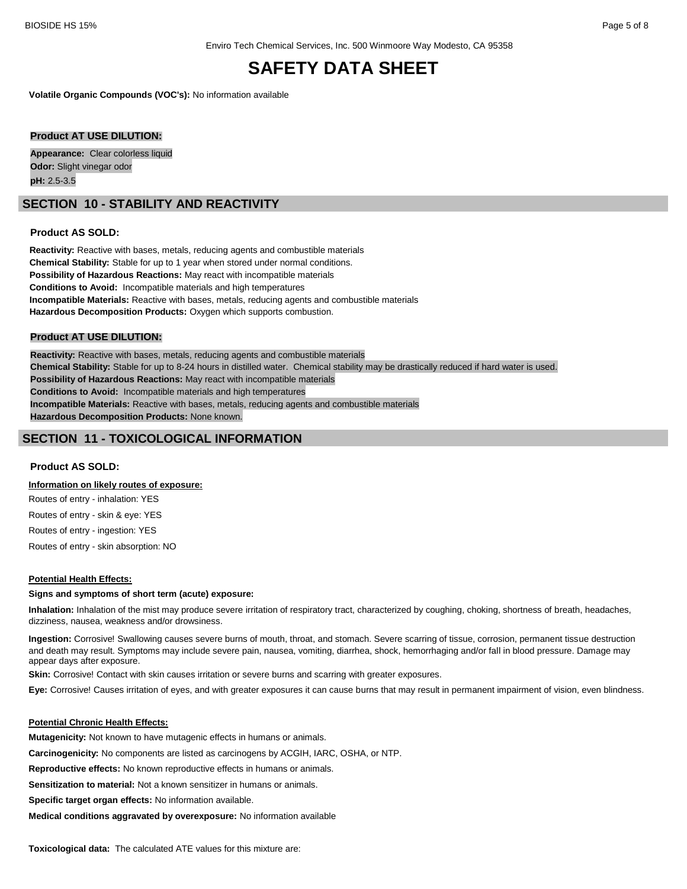**Volatile Organic Compounds (VOC's):** No information available

#### **Product AT USE DILUTION:**

**Appearance:** Clear colorless liquid **Odor:** Slight vinegar odor **pH:** 2.5-3.5

## **SECTION 10 - STABILITY AND REACTIVITY**

#### **Product AS SOLD:**

**Reactivity:** Reactive with bases, metals, reducing agents and combustible materials **Chemical Stability:** Stable for up to 1 year when stored under normal conditions. **Possibility of Hazardous Reactions:** May react with incompatible materials **Conditions to Avoid:** Incompatible materials and high temperatures **Incompatible Materials:** Reactive with bases, metals, reducing agents and combustible materials **Hazardous Decomposition Products:** Oxygen which supports combustion.

#### **Product AT USE DILUTION:**

**Reactivity:** Reactive with bases, metals, reducing agents and combustible materials **Chemical Stability:** Stable for up to 8-24 hours in distilled water. Chemical stability may be drastically reduced if hard water is used. **Possibility of Hazardous Reactions:** May react with incompatible materials **Conditions to Avoid:** Incompatible materials and high temperatures **Incompatible Materials:** Reactive with bases, metals, reducing agents and combustible materials **Hazardous Decomposition Products:** None known.

## **SECTION 11 - TOXICOLOGICAL INFORMATION**

#### **Product AS SOLD:**

#### **Information on likely routes of exposure:**

Routes of entry - inhalation: YES

Routes of entry - skin & eye: YES

Routes of entry - ingestion: YES

Routes of entry - skin absorption: NO

#### **Potential Health Effects:**

#### **Signs and symptoms of short term (acute) exposure:**

**Inhalation:** Inhalation of the mist may produce severe irritation of respiratory tract, characterized by coughing, choking, shortness of breath, headaches, dizziness, nausea, weakness and/or drowsiness.

**Ingestion:** Corrosive! Swallowing causes severe burns of mouth, throat, and stomach. Severe scarring of tissue, corrosion, permanent tissue destruction and death may result. Symptoms may include severe pain, nausea, vomiting, diarrhea, shock, hemorrhaging and/or fall in blood pressure. Damage may appear days after exposure.

**Skin:** Corrosive! Contact with skin causes irritation or severe burns and scarring with greater exposures.

**Eye:** Corrosive! Causes irritation of eyes, and with greater exposures it can cause burns that may result in permanent impairment of vision, even blindness.

#### **Potential Chronic Health Effects:**

**Mutagenicity:** Not known to have mutagenic effects in humans or animals.

**Carcinogenicity:** No components are listed as carcinogens by ACGIH, IARC, OSHA, or NTP.

**Reproductive effects:** No known reproductive effects in humans or animals.

**Sensitization to material:** Not a known sensitizer in humans or animals.

**Specific target organ effects:** No information available.

**Medical conditions aggravated by overexposure:** No information available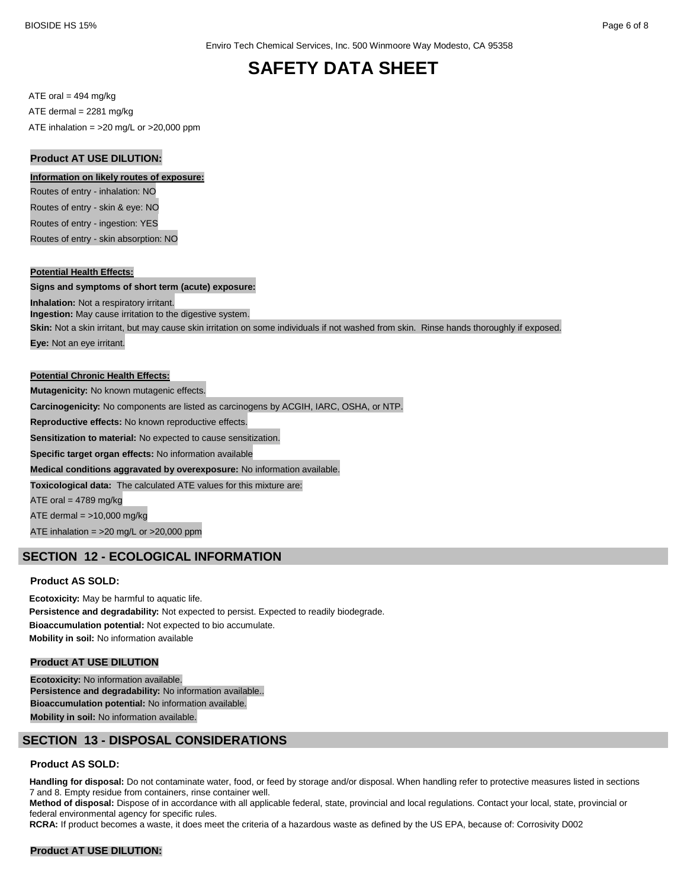$ATE \text{ oral} = 494 \text{ mg/kg}$ ATE dermal = 2281 mg/kg ATE inhalation =  $>20$  mg/L or  $>20,000$  ppm

#### **Product AT USE DILUTION:**

#### **Information on likely routes of exposure:**

Routes of entry - inhalation: NO Routes of entry - skin & eye: NO Routes of entry - ingestion: YES Routes of entry - skin absorption: NO

#### **Potential Health Effects:**

#### **Signs and symptoms of short term (acute) exposure:**

**Inhalation:** Not a respiratory irritant.

**Ingestion:** May cause irritation to the digestive system.

**Skin:** Not a skin irritant, but may cause skin irritation on some individuals if not washed from skin. Rinse hands thoroughly if exposed.

**Eye:** Not an eye irritant.

#### **Potential Chronic Health Effects:**

**Mutagenicity:** No known mutagenic effects.

**Carcinogenicity:** No components are listed as carcinogens by ACGIH, IARC, OSHA, or NTP.

**Reproductive effects:** No known reproductive effects.

**Sensitization to material:** No expected to cause sensitization.

**Specific target organ effects:** No information available

**Medical conditions aggravated by overexposure:** No information available.

**Toxicological data:** The calculated ATE values for this mixture are:

ATE oral  $= 4789$  mg/kg

ATE dermal  $=$  >10,000 mg/kg

ATE inhalation = >20 mg/L or >20,000 ppm

## **SECTION 12 - ECOLOGICAL INFORMATION**

#### **Product AS SOLD:**

**Ecotoxicity:** May be harmful to aquatic life. **Persistence and degradability:** Not expected to persist. Expected to readily biodegrade. **Bioaccumulation potential:** Not expected to bio accumulate. **Mobility in soil:** No information available

#### **Product AT USE DILUTION**

**Ecotoxicity:** No information available. **Persistence and degradability:** No information available.. **Bioaccumulation potential:** No information available. **Mobility in soil:** No information available.

## **SECTION 13 - DISPOSAL CONSIDERATIONS**

#### **Product AS SOLD:**

Handling for disposal: Do not contaminate water, food, or feed by storage and/or disposal. When handling refer to protective measures listed in sections 7 and 8. Empty residue from containers, rinse container well.

**Method of disposal:** Dispose of in accordance with all applicable federal, state, provincial and local regulations. Contact your local, state, provincial or federal environmental agency for specific rules.

**RCRA:** If product becomes a waste, it does meet the criteria of a hazardous waste as defined by the US EPA, because of: Corrosivity D002

#### **Product AT USE DILUTION:**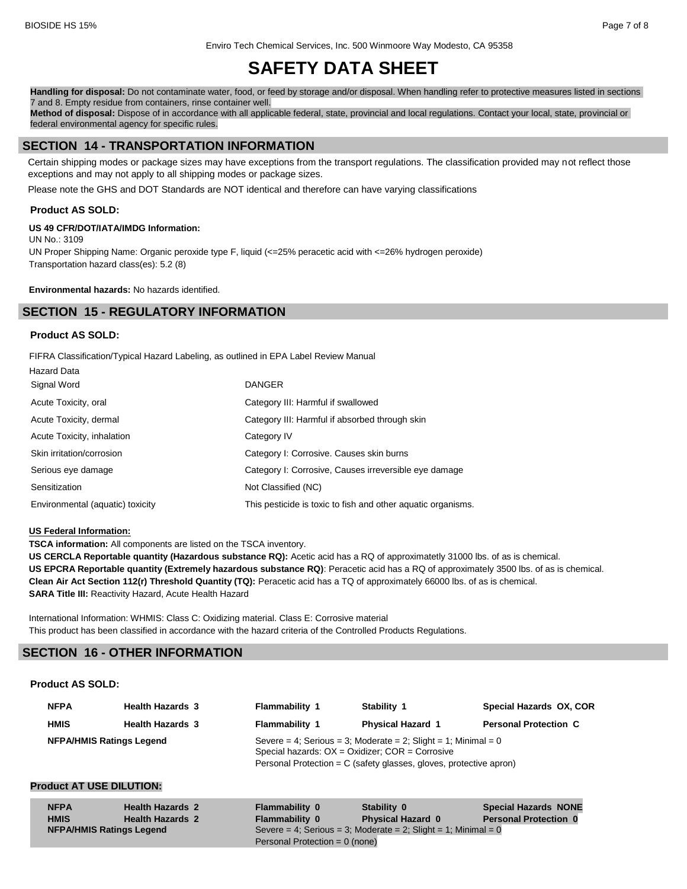Enviro Tech Chemical Services, Inc. 500 Winmoore Way Modesto, CA 95358

# **SAFETY DATA SHEET**

**Handling for disposal:** Do not contaminate water, food, or feed by storage and/or disposal. When handling refer to protective measures listed in sections 7 and 8. Empty residue from containers, rinse container well.

**Method of disposal:** Dispose of in accordance with all applicable federal, state, provincial and local regulations. Contact your local, state, provincial or federal environmental agency for specific rules.

## **SECTION 14 - TRANSPORTATION INFORMATION**

Certain shipping modes or package sizes may have exceptions from the transport regulations. The classification provided may not reflect those exceptions and may not apply to all shipping modes or package sizes.

Please note the GHS and DOT Standards are NOT identical and therefore can have varying classifications

#### **Product AS SOLD:**

#### **US 49 CFR/DOT/IATA/IMDG Information:**

UN No.: 3109 UN Proper Shipping Name: Organic peroxide type F, liquid (<=25% peracetic acid with <=26% hydrogen peroxide) Transportation hazard class(es): 5.2 (8)

**Environmental hazards:** No hazards identified.

## **SECTION 15 - REGULATORY INFORMATION**

#### **Product AS SOLD:**

FIFRA Classification/Typical Hazard Labeling, as outlined in EPA Label Review Manual

| <b>Hazard Data</b>               |                                                              |
|----------------------------------|--------------------------------------------------------------|
| Signal Word                      | <b>DANGER</b>                                                |
| Acute Toxicity, oral             | Category III: Harmful if swallowed                           |
| Acute Toxicity, dermal           | Category III: Harmful if absorbed through skin               |
| Acute Toxicity, inhalation       | Category IV                                                  |
| Skin irritation/corrosion        | Category I: Corrosive. Causes skin burns                     |
| Serious eye damage               | Category I: Corrosive, Causes irreversible eye damage        |
| Sensitization                    | Not Classified (NC)                                          |
| Environmental (aquatic) toxicity | This pesticide is toxic to fish and other aquatic organisms. |

#### **US Federal Information:**

**TSCA information:** All components are listed on the TSCA inventory.

**US CERCLA Reportable quantity (Hazardous substance RQ):** Acetic acid has a RQ of approximatetly 31000 lbs. of as is chemical. **US EPCRA Reportable quantity (Extremely hazardous substance RQ)**: Peracetic acid has a RQ of approximately 3500 lbs. of as is chemical. **Clean Air Act Section 112(r) Threshold Quantity (TQ):** Peracetic acid has a TQ of approximately 66000 lbs. of as is chemical. **SARA Title III:** Reactivity Hazard, Acute Health Hazard

International Information: WHMIS: Class C: Oxidizing material. Class E: Corrosive material This product has been classified in accordance with the hazard criteria of the Controlled Products Regulations.

## **SECTION 16 - OTHER INFORMATION**

#### **Product AS SOLD:**

| <b>NFPA</b>                     | <b>Health Hazards 3</b> | Flammability 1 | Stability 1                                                                                                                                                                                  | Special Hazards OX, COR      |
|---------------------------------|-------------------------|----------------|----------------------------------------------------------------------------------------------------------------------------------------------------------------------------------------------|------------------------------|
| <b>HMIS</b>                     | <b>Health Hazards 3</b> | Flammability 1 | <b>Physical Hazard 1</b>                                                                                                                                                                     | <b>Personal Protection C</b> |
| <b>NFPA/HMIS Ratings Legend</b> |                         |                | Severe = 4; Serious = 3; Moderate = 2; Slight = 1; Minimal = 0<br>Special hazards: $OX = Oxidizer$ ; $COR = Corrosive$<br>Personal Protection = C (safety glasses, gloves, protective apron) |                              |

## **Product AT USE DILUTION:**

| <b>NFPA</b>                     | <b>Health Hazards 2</b> | <b>Flammability 0</b>            | Stability 0                                                    | <b>Special Hazards NONE</b>  |  |  |
|---------------------------------|-------------------------|----------------------------------|----------------------------------------------------------------|------------------------------|--|--|
| <b>HMIS</b>                     | <b>Health Hazards 2</b> | <b>Flammability 0</b>            | <b>Physical Hazard 0</b>                                       | <b>Personal Protection 0</b> |  |  |
| <b>NFPA/HMIS Ratings Legend</b> |                         |                                  | Severe = 4; Serious = 3; Moderate = 2; Slight = 1; Minimal = 0 |                              |  |  |
|                                 |                         | Personal Protection = $0$ (none) |                                                                |                              |  |  |